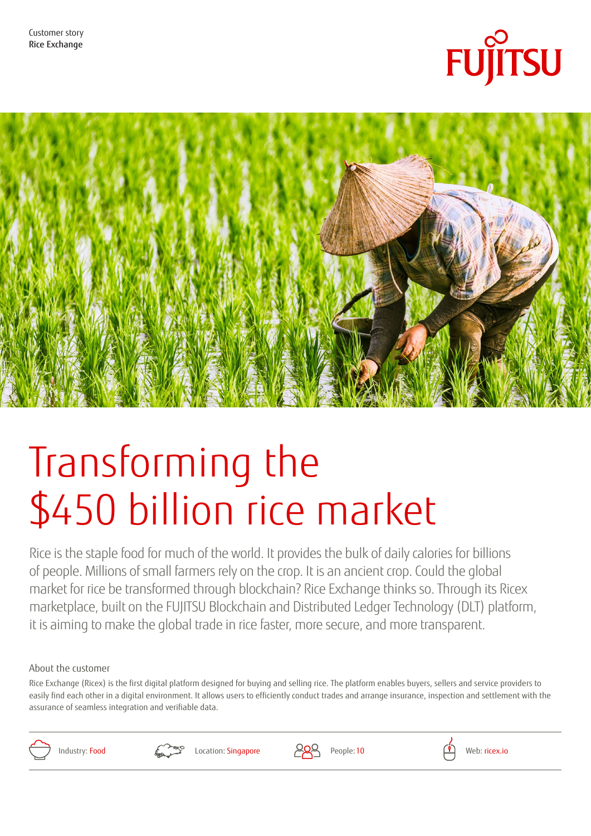



# Transforming the \$450 billion rice market

Rice is the staple food for much of the world. It provides the bulk of daily calories for billions of people. Millions of small farmers rely on the crop. It is an ancient crop. Could the global market for rice be transformed through blockchain? Rice Exchange thinks so. Through its Ricex marketplace, built on the FUJITSU Blockchain and Distributed Ledger Technology (DLT) platform, it is aiming to make the global trade in rice faster, more secure, and more transparent.

### About the customer

Rice Exchange (Ricex) is the first digital platform designed for buying and selling rice. The platform enables buyers, sellers and service providers to easily find each other in a digital environment. It allows users to efficiently conduct trades and arrange insurance, inspection and settlement with the assurance of seamless integration and verifiable data.





Industry: Food  $\left( \begin{array}{ccc} \bullet & \bullet & \bullet \\ \bullet & \bullet & \bullet \end{array} \right)$  Location: Singapore  $\left( \begin{array}{ccc} \bullet & \bullet & \bullet \\ \bullet & \bullet & \bullet \end{array} \right)$  People: 10 Web: [ricex.io](http://www.ricex.io)